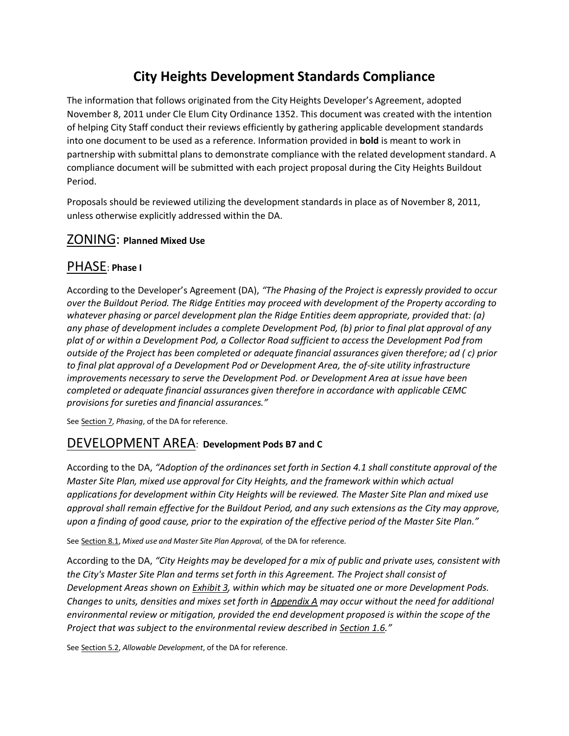# **City Heights Development Standards Compliance**

The information that follows originated from the City Heights Developer's Agreement, adopted November 8, 2011 under Cle Elum City Ordinance 1352. This document was created with the intention of helping City Staff conduct their reviews efficiently by gathering applicable development standards into one document to be used as a reference. Information provided in **bold** is meant to work in partnership with submittal plans to demonstrate compliance with the related development standard. A compliance document will be submitted with each project proposal during the City Heights Buildout Period.

Proposals should be reviewed utilizing the development standards in place as of November 8, 2011, unless otherwise explicitly addressed within the DA.

### ZONING: **Planned Mixed Use**

### PHASE: **Phase I**

According to the Developer's Agreement (DA), *"The Phasing of the Project is expressly provided to occur over the Buildout Period. The Ridge Entities may proceed with development of the Property according to whatever phasing or parcel development plan the Ridge Entities deem appropriate, provided that: (a) any phase of development includes a complete Development Pod, (b) prior to final plat approval of any plat of or within a Development Pod, a Collector Road sufficient to access the Development Pod from outside of the Project has been completed or adequate financial assurances given therefore; ad ( c) prior to final plat approval of a Development Pod or Development Area, the of-site utility infrastructure improvements necessary to serve the Development Pod. or Development Area at issue have been completed or adequate financial assurances given therefore in accordance with applicable CEMC provisions for sureties and financial assurances."*

See Section 7, *Phasing*, of the DA for reference.

### DEVELOPMENT AREA: **Development Pods B7 and C**

According to the DA, *"Adoption of the ordinances set forth in Section 4.1 shall constitute approval of the Master Site Plan, mixed use approval for City Heights, and the framework within which actual applications for development within City Heights will be reviewed. The Master Site Plan and mixed use approval shall remain effective for the Buildout Period, and any such extensions as the City may approve, upon a finding of good cause, prior to the expiration of the effective period of the Master Site Plan."*

See Section 8.1, *Mixed use and Master Site Plan Approval,* of the DA for reference.

According to the DA, *"City Heights may be developed for a mix of public and private uses, consistent with the City's Master Site Plan and terms set forth in this Agreement. The Project shall consist of Development Areas shown on Exhibit 3, within which may be situated one or more Development Pods. Changes to units, densities and mixes set forth in Appendix A may occur without the need for additional environmental review or mitigation, provided the end development proposed is within the scope of the Project that was subject to the environmental review described in Section 1.6."* 

See Section 5.2, *Allowable Development*, of the DA for reference.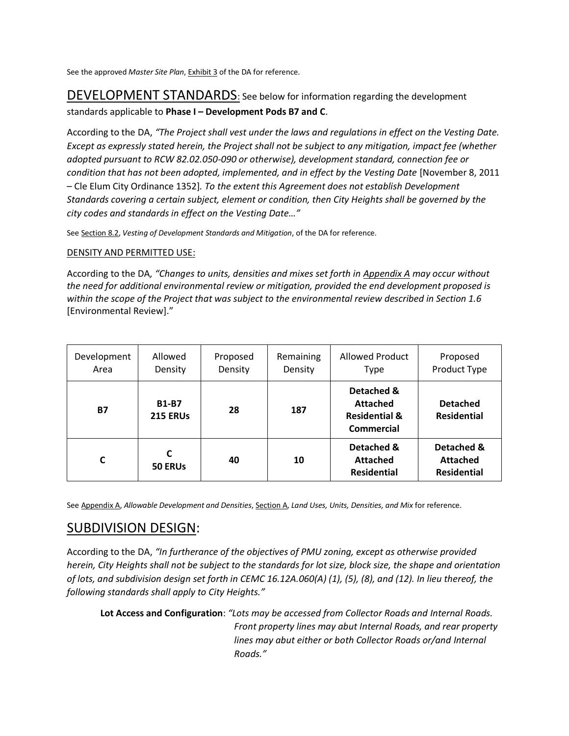See the approved *Master Site Plan*, Exhibit 3 of the DA for reference.

## DEVELOPMENT STANDARDS: See below for information regarding the development standards applicable to **Phase I – Development Pods B7 and C**.

According to the DA, *"The Project shall vest under the laws and regulations in effect on the Vesting Date. Except as expressly stated herein, the Project shall not be subject to any mitigation, impact fee (whether adopted pursuant to RCW 82.02.050-090 or otherwise), development standard, connection fee or condition that has not been adopted, implemented, and in effect by the Vesting Date [November 8, 2011* – Cle Elum City Ordinance 1352]*. To the extent this Agreement does not establish Development Standards covering a certain subject, element or condition, then City Heights shall be governed by the city codes and standards in effect on the Vesting Date…"*

See Section 8.2, *Vesting of Development Standards and Mitigation*, of the DA for reference.

### DENSITY AND PERMITTED USE:

According to the DA*, "Changes to units, densities and mixes set forth in Appendix A may occur without the need for additional environmental review or mitigation, provided the end development proposed is within the scope of the Project that was subject to the environmental review described in Section 1.6* [Environmental Review]."

| Development<br>Area | Allowed<br>Density              | Proposed<br>Density | Remaining<br>Density | <b>Allowed Product</b><br><b>Type</b>                                   | Proposed<br>Product Type                            |
|---------------------|---------------------------------|---------------------|----------------------|-------------------------------------------------------------------------|-----------------------------------------------------|
| <b>B7</b>           | <b>B1-B7</b><br><b>215 ERUs</b> | 28                  | 187                  | Detached &<br><b>Attached</b><br><b>Residential &amp;</b><br>Commercial | <b>Detached</b><br><b>Residential</b>               |
| C                   | 50 ERUS                         | 40                  | 10                   | Detached &<br><b>Attached</b><br><b>Residential</b>                     | Detached &<br><b>Attached</b><br><b>Residential</b> |

See Appendix A, Allowable Development and Densities, Section A, Land Uses, Units, Densities, and Mix for reference.

## SUBDIVISION DESIGN:

According to the DA, *"In furtherance of the objectives of PMU zoning, except as otherwise provided herein, City Heights shall not be subject to the standards for lot size, block size, the shape and orientation of lots, and subdivision design set forth in CEMC 16.12A.060(A) (1), (5), (8), and (12). In lieu thereof, the following standards shall apply to City Heights."*

**Lot Access and Configuration**: *"Lots may be accessed from Collector Roads and Internal Roads. Front property lines may abut Internal Roads, and rear property lines may abut either or both Collector Roads or/and Internal Roads."*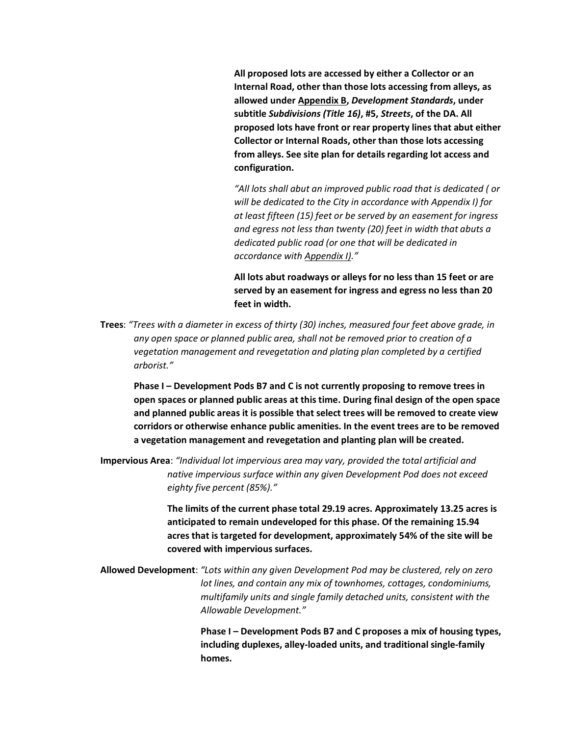**All proposed lots are accessed by either a Collector or an Internal Road, other than those lots accessing from alleys, as allowed under Appendix B,** *Development Standards***, under subtitle** *Subdivisions (Title 16)***, #5,** *Streets***, of the DA. All proposed lots have front or rear property lines that abut either Collector or Internal Roads, other than those lots accessing from alleys. See site plan for details regarding lot access and configuration.**

*"All lots shall abut an improved public road that is dedicated ( or will be dedicated to the City in accordance with Appendix I) for at least fifteen (15) feet or be served by an easement for ingress and egress not less than twenty (20) feet in width that abuts a dedicated public road (or one that will be dedicated in accordance with Appendix I)."*

**All lots abut roadways or alleys for no less than 15 feet or are served by an easement for ingress and egress no less than 20 feet in width.**

**Trees**: *"Trees with a diameter in excess of thirty (30) inches, measured four feet above grade, in any open space or planned public area, shall not be removed prior to creation of a vegetation management and revegetation and plating plan completed by a certified arborist."*

**Phase I – Development Pods B7 and C is not currently proposing to remove trees in open spaces or planned public areas at this time. During final design of the open space and planned public areas it is possible that select trees will be removed to create view corridors or otherwise enhance public amenities. In the event trees are to be removed a vegetation management and revegetation and planting plan will be created.** 

**Impervious Area**: *"Individual lot impervious area may vary, provided the total artificial and native impervious surface within any given Development Pod does not exceed eighty five percent (85%)."*

> **The limits of the current phase total 29.19 acres. Approximately 13.25 acres is anticipated to remain undeveloped for this phase. Of the remaining 15.94 acres that is targeted for development, approximately 54% of the site will be covered with impervious surfaces.**

**Allowed Development**: *"Lots within any given Development Pod may be clustered, rely on zero lot lines, and contain any mix of townhomes, cottages, condominiums, multifamily units and single family detached units, consistent with the Allowable Development."*

> **Phase I – Development Pods B7 and C proposes a mix of housing types, including duplexes, alley-loaded units, and traditional single-family homes.**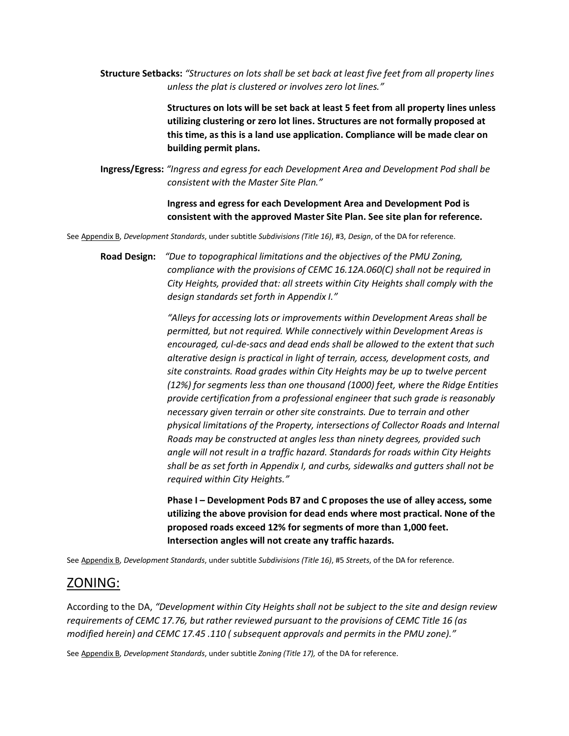**Structure Setbacks:** *"Structures on lots shall be set back at least five feet from all property lines unless the plat is clustered or involves zero lot lines."*

> **Structures on lots will be set back at least 5 feet from all property lines unless utilizing clustering or zero lot lines. Structures are not formally proposed at this time, as this is a land use application. Compliance will be made clear on building permit plans.**

**Ingress/Egress:** *"Ingress and egress for each Development Area and Development Pod shall be consistent with the Master Site Plan."*

> **Ingress and egress for each Development Area and Development Pod is consistent with the approved Master Site Plan. See site plan for reference.**

See Appendix B, *Development Standards*, under subtitle *Subdivisions (Title 16)*, #3, *Design*, of the DA for reference.

**Road Design:** *"Due to topographical limitations and the objectives of the PMU Zoning, compliance with the provisions of CEMC 16.12A.060(C) shall not be required in City Heights, provided that: all streets within City Heights shall comply with the design standards set forth in Appendix I."*

> *"Alleys for accessing lots or improvements within Development Areas shall be permitted, but not required. While connectively within Development Areas is encouraged, cul-de-sacs and dead ends shall be allowed to the extent that such alterative design is practical in light of terrain, access, development costs, and site constraints. Road grades within City Heights may be up to twelve percent (12%) for segments less than one thousand (1000) feet, where the Ridge Entities provide certification from a professional engineer that such grade is reasonably necessary given terrain or other site constraints. Due to terrain and other physical limitations of the Property, intersections of Collector Roads and Internal Roads may be constructed at angles less than ninety degrees, provided such angle will not result in a traffic hazard. Standards for roads within City Heights shall be as set forth in Appendix I, and curbs, sidewalks and gutters shall not be required within City Heights."*

**Phase I – Development Pods B7 and C proposes the use of alley access, some utilizing the above provision for dead ends where most practical. None of the proposed roads exceed 12% for segments of more than 1,000 feet. Intersection angles will not create any traffic hazards.**

See Appendix B, *Development Standards*, under subtitle *Subdivisions (Title 16)*, #5 *Streets*, of the DA for reference.

## ZONING:

According to the DA, *"Development within City Heights shall not be subject to the site and design review requirements of CEMC 17.76, but rather reviewed pursuant to the provisions of CEMC Title 16 (as modified herein) and CEMC 17.45 .110 ( subsequent approvals and permits in the PMU zone)."*

See Appendix B, *Development Standards*, under subtitle *Zoning (Title 17),* of the DA for reference.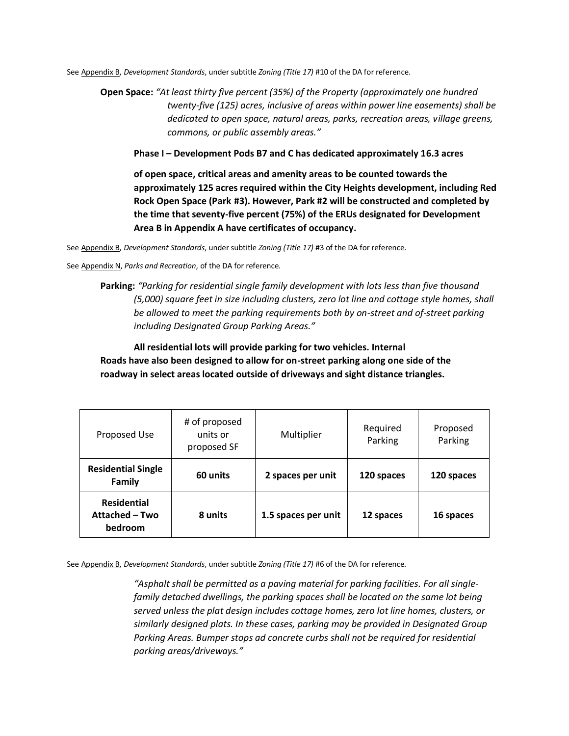See Appendix B, *Development Standards*, under subtitle *Zoning (Title 17)* #10 of the DA for reference.

**Open Space:** *"At least thirty five percent (35%) of the Property (approximately one hundred twenty-five (125) acres, inclusive of areas within power line easements) shall be dedicated to open space, natural areas, parks, recreation areas, village greens, commons, or public assembly areas."*

**Phase I – Development Pods B7 and C has dedicated approximately 16.3 acres**

**of open space, critical areas and amenity areas to be counted towards the approximately 125 acres required within the City Heights development, including Red Rock Open Space (Park #3). However, Park #2 will be constructed and completed by the time that seventy-five percent (75%) of the ERUs designated for Development Area B in Appendix A have certificates of occupancy.**

See Appendix B, *Development Standards*, under subtitle *Zoning (Title 17)* #3 of the DA for reference.

See Appendix N, *Parks and Recreation*, of the DA for reference.

**Parking:** *"Parking for residential single family development with lots less than five thousand (5,000) square feet in size including clusters, zero lot line and cottage style homes, shall be allowed to meet the parking requirements both by on-street and of-street parking including Designated Group Parking Areas."*

**All residential lots will provide parking for two vehicles. Internal Roads have also been designed to allow for on-street parking along one side of the roadway in select areas located outside of driveways and sight distance triangles.** 

| Proposed Use                                    | # of proposed<br>units or<br>proposed SF | Multiplier          | Required<br>Parking | Proposed<br>Parking |
|-------------------------------------------------|------------------------------------------|---------------------|---------------------|---------------------|
| <b>Residential Single</b><br><b>Family</b>      | 60 units                                 | 2 spaces per unit   | 120 spaces          | 120 spaces          |
| <b>Residential</b><br>Attached - Two<br>bedroom | 8 units                                  | 1.5 spaces per unit | 12 spaces           | 16 spaces           |

See Appendix B, *Development Standards*, under subtitle *Zoning (Title 17)* #6 of the DA for reference.

*"Asphalt shall be permitted as a paving material for parking facilities. For all singlefamily detached dwellings, the parking spaces shall be located on the same lot being served unless the plat design includes cottage homes, zero lot line homes, clusters, or similarly designed plats. In these cases, parking may be provided in Designated Group Parking Areas. Bumper stops ad concrete curbs shall not be required for residential parking areas/driveways."*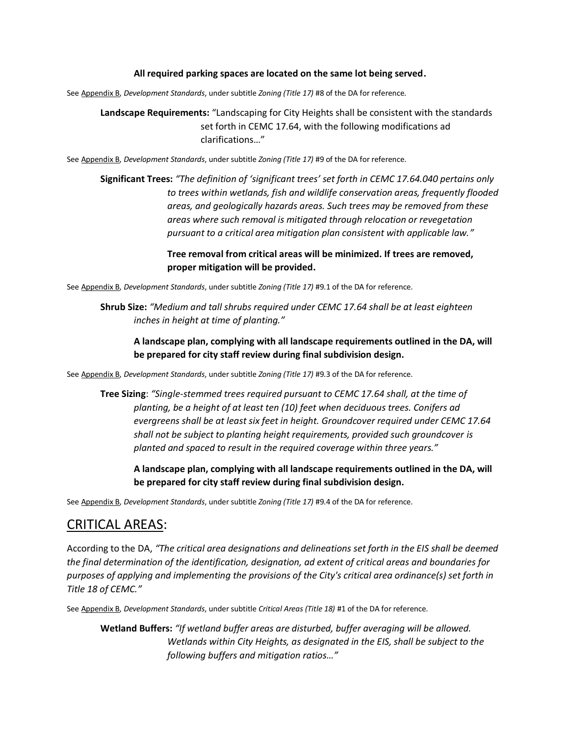### **All required parking spaces are located on the same lot being served.**

See Appendix B, *Development Standards*, under subtitle *Zoning (Title 17)* #8 of the DA for reference.

**Landscape Requirements:** "Landscaping for City Heights shall be consistent with the standards set forth in CEMC 17.64, with the following modifications ad clarifications…"

See Appendix B, *Development Standards*, under subtitle *Zoning (Title 17)* #9 of the DA for reference.

**Significant Trees:** *"The definition of 'significant trees' set forth in CEMC 17.64.040 pertains only to trees within wetlands, fish and wildlife conservation areas, frequently flooded areas, and geologically hazards areas. Such trees may be removed from these areas where such removal is mitigated through relocation or revegetation pursuant to a critical area mitigation plan consistent with applicable law."*

> **Tree removal from critical areas will be minimized. If trees are removed, proper mitigation will be provided.**

See Appendix B, *Development Standards*, under subtitle *Zoning (Title 17)* #9.1 of the DA for reference.

**Shrub Size:** *"Medium and tall shrubs required under CEMC 17.64 shall be at least eighteen inches in height at time of planting."*

**A landscape plan, complying with all landscape requirements outlined in the DA, will be prepared for city staff review during final subdivision design.**

See Appendix B, *Development Standards*, under subtitle *Zoning (Title 17)* #9.3 of the DA for reference.

**Tree Sizing**: *"Single-stemmed trees required pursuant to CEMC 17.64 shall, at the time of planting, be a height of at least ten (10) feet when deciduous trees. Conifers ad evergreens shall be at least six feet in height. Groundcover required under CEMC 17.64 shall not be subject to planting height requirements, provided such groundcover is planted and spaced to result in the required coverage within three years."*

**A landscape plan, complying with all landscape requirements outlined in the DA, will be prepared for city staff review during final subdivision design.**

See Appendix B, *Development Standards*, under subtitle *Zoning (Title 17)* #9.4 of the DA for reference.

## CRITICAL AREAS:

According to the DA, *"The critical area designations and delineations set forth in the EIS shall be deemed the final determination of the identification, designation, ad extent of critical areas and boundaries for purposes of applying and implementing the provisions of the City's critical area ordinance(s) set forth in Title 18 of CEMC."*

See Appendix B, *Development Standards*, under subtitle *Critical Areas (Title 18)* #1 of the DA for reference.

**Wetland Buffers:** *"If wetland buffer areas are disturbed, buffer averaging will be allowed. Wetlands within City Heights, as designated in the EIS, shall be subject to the following buffers and mitigation ratios…"*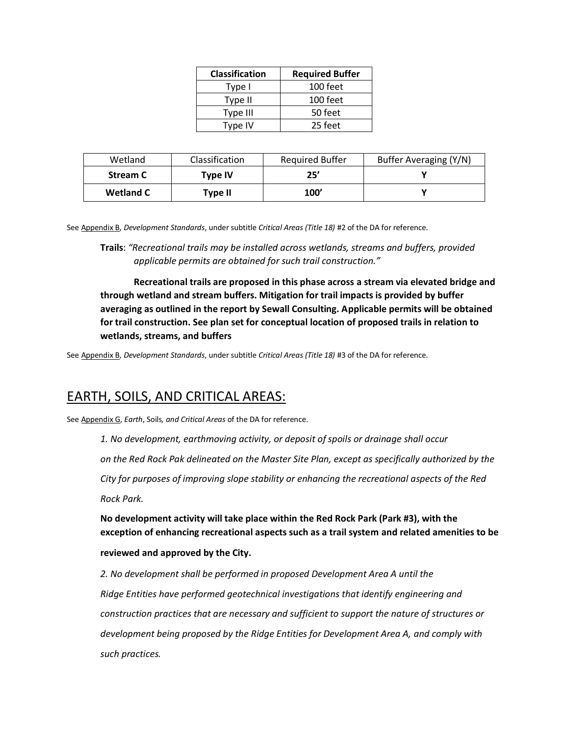| <b>Classification</b> | <b>Required Buffer</b> |  |  |
|-----------------------|------------------------|--|--|
| Type I                | 100 feet               |  |  |
| Type II               | 100 feet               |  |  |
| Type III              | 50 feet                |  |  |
| Type IV               | 25 feet                |  |  |

| Wetland          | <b>Classification</b> | <b>Required Buffer</b> | Buffer Averaging (Y/N) |
|------------------|-----------------------|------------------------|------------------------|
| <b>Stream C</b>  | <b>Type IV</b>        | 25'                    |                        |
| <b>Wetland C</b> | Type II               | 100'                   |                        |

See Appendix B, *Development Standards*, under subtitle *Critical Areas (Title 18)* #2 of the DA for reference.

**Trails**: *"Recreational trails may be installed across wetlands, streams and buffers, provided applicable permits are obtained for such trail construction."*

**Recreational trails are proposed in this phase across a stream via elevated bridge and through wetland and stream buffers. Mitigation for trail impacts is provided by buffer averaging as outlined in the report by Sewall Consulting. Applicable permits will be obtained for trail construction. See plan set for conceptual location of proposed trails in relation to wetlands, streams, and buffers**

See Appendix B, *Development Standards*, under subtitle *Critical Areas (Title 18)* #3 of the DA for reference.

## EARTH, SOILS, AND CRITICAL AREAS:

See Appendix G, *Earth*, Soils*, and Critical Areas* of the DA for reference.

*1. No development, earthmoving activity, or deposit of spoils or drainage shall occur*

*on the Red Rock Pak delineated on the Master Site Plan, except as specifically authorized by the* 

*City for purposes of improving slope stability or enhancing the recreational aspects of the Red Rock Park.* 

**No development activity will take place within the Red Rock Park (Park #3), with the exception of enhancing recreational aspects such as a trail system and related amenities to be** 

#### **reviewed and approved by the City.**

*2. No development shall be performed in proposed Development Area A until the Ridge Entities have performed geotechnical investigations that identify engineering and construction practices that are necessary and sufficient to support the nature of structures or development being proposed by the Ridge Entities for Development Area A, and comply with such practices.*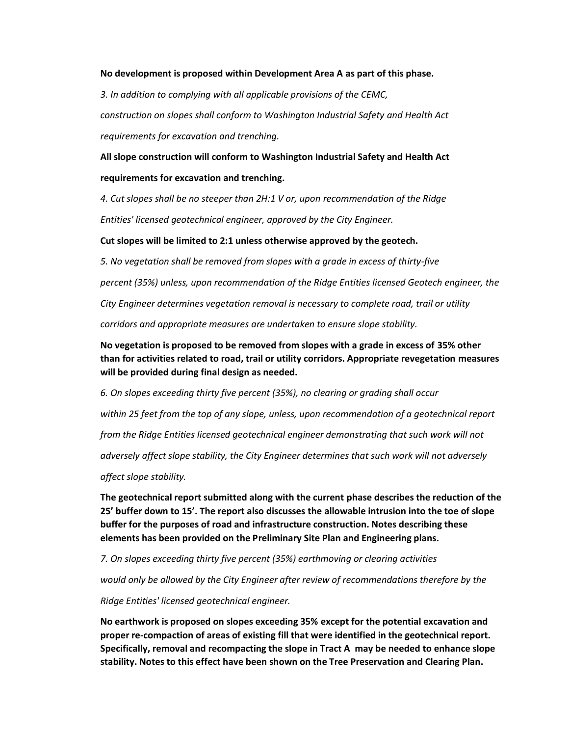#### **No development is proposed within Development Area A as part of this phase.**

*3. In addition to complying with all applicable provisions of the CEMC, construction on slopes shall conform to Washington Industrial Safety and Health Act requirements for excavation and trenching.* 

**All slope construction will conform to Washington Industrial Safety and Health Act requirements for excavation and trenching.**

*4. Cut slopes shall be no steeper than 2H:1 V or, upon recommendation of the Ridge Entities' licensed geotechnical engineer, approved by the City Engineer.* 

#### **Cut slopes will be limited to 2:1 unless otherwise approved by the geotech.**

*5. No vegetation shall be removed from slopes with a grade in excess of thirty-five*

*percent (35%) unless, upon recommendation of the Ridge Entities licensed Geotech engineer, the* 

*City Engineer determines vegetation removal is necessary to complete road, trail or utility* 

*corridors and appropriate measures are undertaken to ensure slope stability.* 

**No vegetation is proposed to be removed from slopes with a grade in excess of 35% other than for activities related to road, trail or utility corridors. Appropriate revegetation measures will be provided during final design as needed.**

*6. On slopes exceeding thirty five percent (35%), no clearing or grading shall occur within 25 feet from the top of any slope, unless, upon recommendation of a geotechnical report from the Ridge Entities licensed geotechnical engineer demonstrating that such work will not adversely affect slope stability, the City Engineer determines that such work will not adversely affect slope stability.* 

**The geotechnical report submitted along with the current phase describes the reduction of the 25' buffer down to 15'. The report also discusses the allowable intrusion into the toe of slope buffer for the purposes of road and infrastructure construction. Notes describing these elements has been provided on the Preliminary Site Plan and Engineering plans.**

*7. On slopes exceeding thirty five percent (35%) earthmoving or clearing activities*

*would only be allowed by the City Engineer after review of recommendations therefore by the* 

*Ridge Entities' licensed geotechnical engineer.* 

**No earthwork is proposed on slopes exceeding 35% except for the potential excavation and proper re-compaction of areas of existing fill that were identified in the geotechnical report. Specifically, removal and recompacting the slope in Tract A may be needed to enhance slope stability. Notes to this effect have been shown on the Tree Preservation and Clearing Plan.**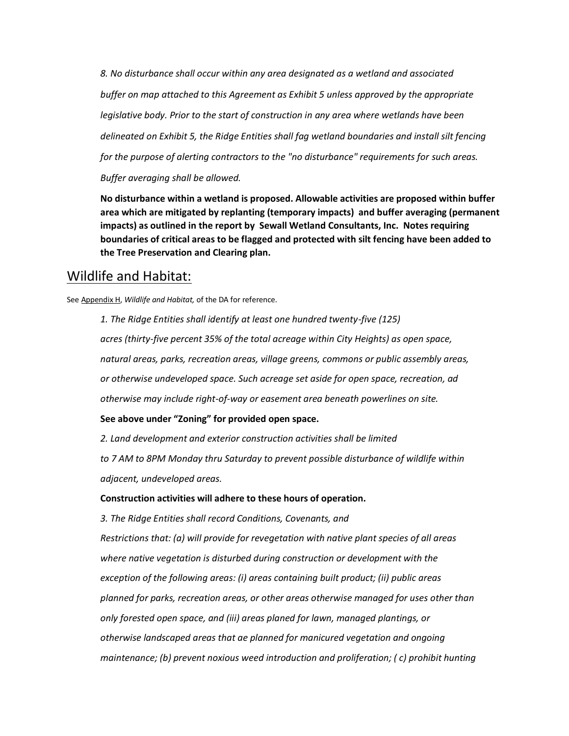*8. No disturbance shall occur within any area designated as a wetland and associated buffer on map attached to this Agreement as Exhibit 5 unless approved by the appropriate legislative body. Prior to the start of construction in any area where wetlands have been delineated on Exhibit 5, the Ridge Entities shall fag wetland boundaries and install silt fencing for the purpose of alerting contractors to the "no disturbance" requirements for such areas. Buffer averaging shall be allowed.*

**No disturbance within a wetland is proposed. Allowable activities are proposed within buffer area which are mitigated by replanting (temporary impacts) and buffer averaging (permanent impacts) as outlined in the report by Sewall Wetland Consultants, Inc. Notes requiring boundaries of critical areas to be flagged and protected with silt fencing have been added to the Tree Preservation and Clearing plan.** 

## Wildlife and Habitat:

See Appendix H, *Wildlife and Habitat,* of the DA for reference.

*1. The Ridge Entities shall identify at least one hundred twenty-five (125) acres (thirty-five percent 35% of the total acreage within City Heights) as open space, natural areas, parks, recreation areas, village greens, commons or public assembly areas, or otherwise undeveloped space. Such acreage set aside for open space, recreation, ad otherwise may include right-of-way or easement area beneath powerlines on site.* 

### **See above under "Zoning" for provided open space.**

*2. Land development and exterior construction activities shall be limited*

*to 7 AM to 8PM Monday thru Saturday to prevent possible disturbance of wildlife within adjacent, undeveloped areas.* 

#### **Construction activities will adhere to these hours of operation.**

*3. The Ridge Entities shall record Conditions, Covenants, and Restrictions that: (a) will provide for revegetation with native plant species of all areas where native vegetation is disturbed during construction or development with the exception of the following areas: (i) areas containing built product; (ii) public areas planned for parks, recreation areas, or other areas otherwise managed for uses other than only forested open space, and (iii) areas planed for lawn, managed plantings, or otherwise landscaped areas that ae planned for manicured vegetation and ongoing maintenance; (b) prevent noxious weed introduction and proliferation; ( c) prohibit hunting*